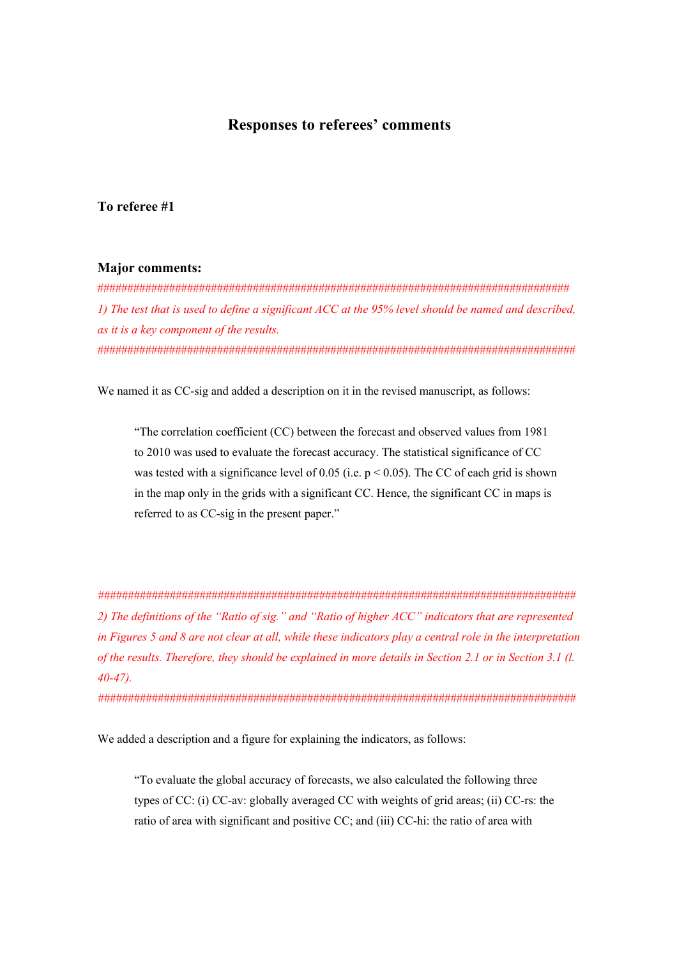## **Responses to referees' comments**

## **To referee #1**

## **Major comments:**

############################################################################### *1) The test that is used to define a significant ACC at the 95% level should be named and described, as it is a key component of the results.*  ################################################################################

We named it as CC-sig and added a description on it in the revised manuscript, as follows:

"The correlation coefficient (CC) between the forecast and observed values from 1981 to 2010 was used to evaluate the forecast accuracy. The statistical significance of CC was tested with a significance level of 0.05 (i.e.  $p < 0.05$ ). The CC of each grid is shown in the map only in the grids with a significant CC. Hence, the significant CC in maps is referred to as CC-sig in the present paper."

*################################################################################ 2) The definitions of the "Ratio of sig." and "Ratio of higher ACC" indicators that are represented in Figures 5 and 8 are not clear at all, while these indicators play a central role in the interpretation of the results. Therefore, they should be explained in more details in Section 2.1 or in Section 3.1 (l. 40-47).* 

*################################################################################*

We added a description and a figure for explaining the indicators, as follows:

"To evaluate the global accuracy of forecasts, we also calculated the following three types of CC: (i) CC-av: globally averaged CC with weights of grid areas; (ii) CC-rs: the ratio of area with significant and positive CC; and (iii) CC-hi: the ratio of area with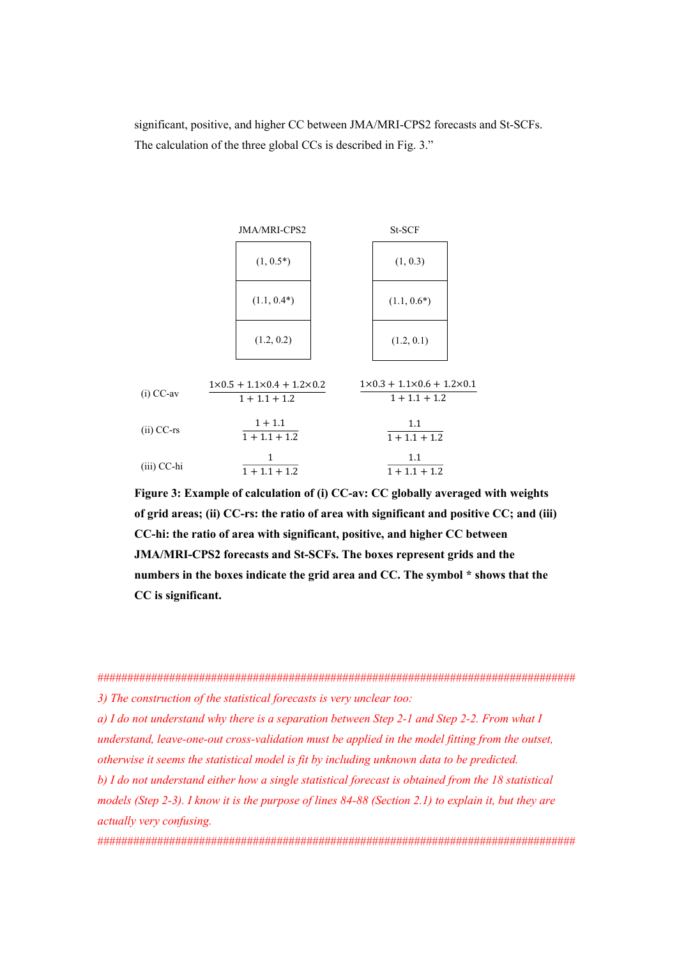significant, positive, and higher CC between JMA/MRI-CPS2 forecasts and St-SCFs. The calculation of the three global CCs is described in Fig. 3."



Figure 3: Example of calculation of (i) CC-av: CC globally averaged with weights of grid areas; (ii) CC-rs: the ratio of area with significant and positive CC; and (iii) CC-hi: the ratio of area with significant, positive, and higher CC between **JMA/MRI-CPS2** forecasts and St-SCFs. The boxes represent grids and the numbers in the boxes indicate the grid area and CC. The symbol \* shows that the CC is significant.

3) The construction of the statistical forecasts is very unclear too:

a) I do not understand why there is a separation between Step 2-1 and Step 2-2. From what I understand, leave-one-out cross-validation must be applied in the model fitting from the outset, otherwise it seems the statistical model is fit by including unknown data to be predicted.

b) I do not understand either how a single statistical forecast is obtained from the 18 statistical models (Step 2-3). I know it is the purpose of lines 84-88 (Section 2.1) to explain it, but they are actually very confusing.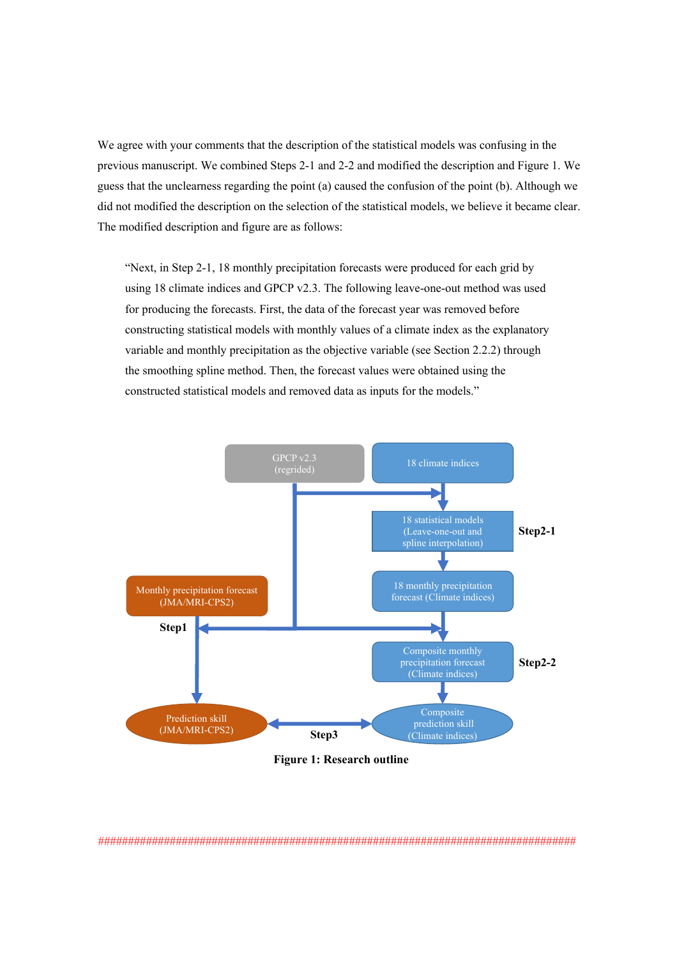We agree with your comments that the description of the statistical models was confusing in the previous manuscript. We combined Steps 2-1 and 2-2 and modified the description and Figure 1. We guess that the unclearness regarding the point (a) caused the confusion of the point (b). Although we did not modified the description on the selection of the statistical models, we believe it became clear. The modified description and figure are as follows:

"Next, in Step 2-1, 18 monthly precipitation forecasts were produced for each grid by using 18 climate indices and GPCP v2.3. The following leave-one-out method was used for producing the forecasts. First, the data of the forecast year was removed before constructing statistical models with monthly values of a climate index as the explanatory variable and monthly precipitation as the objective variable (see Section 2.2.2) through the smoothing spline method. Then, the forecast values were obtained using the constructed statistical models and removed data as inputs for the models."



*<sup>################################################################################</sup>*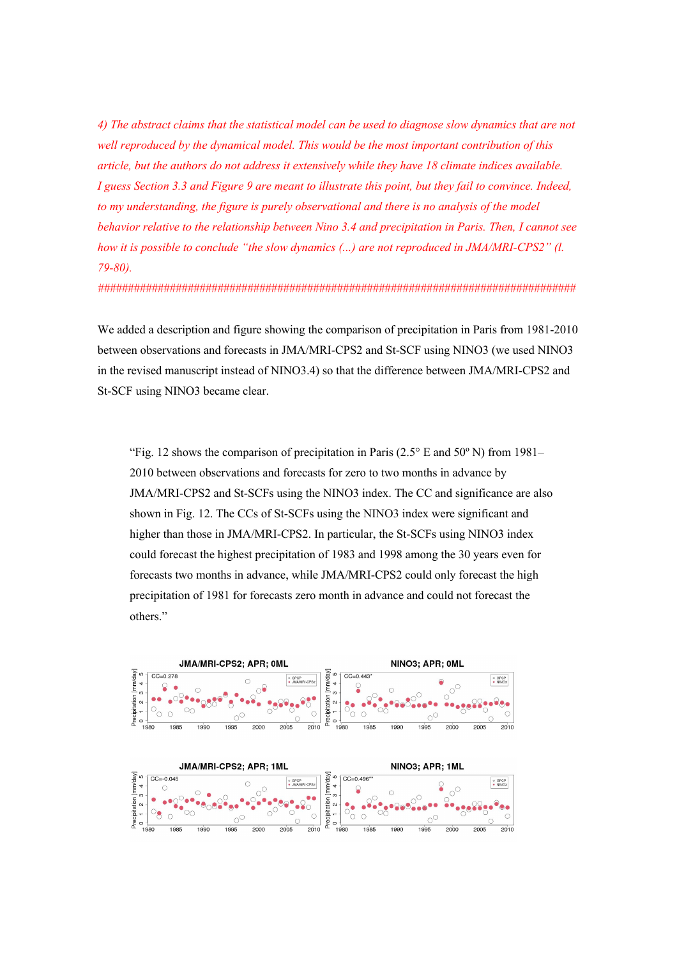*4) The abstract claims that the statistical model can be used to diagnose slow dynamics that are not well reproduced by the dynamical model. This would be the most important contribution of this article, but the authors do not address it extensively while they have 18 climate indices available. I guess Section 3.3 and Figure 9 are meant to illustrate this point, but they fail to convince. Indeed, to my understanding, the figure is purely observational and there is no analysis of the model behavior relative to the relationship between Nino 3.4 and precipitation in Paris. Then, I cannot see how it is possible to conclude "the slow dynamics (...) are not reproduced in JMA/MRI-CPS2" (l. 79-80).* 

*################################################################################*

We added a description and figure showing the comparison of precipitation in Paris from 1981-2010 between observations and forecasts in JMA/MRI-CPS2 and St-SCF using NINO3 (we used NINO3 in the revised manuscript instead of NINO3.4) so that the difference between JMA/MRI-CPS2 and St-SCF using NINO3 became clear.

"Fig. 12 shows the comparison of precipitation in Paris ( $2.5^{\circ}$  E and  $50^{\circ}$  N) from 1981– 2010 between observations and forecasts for zero to two months in advance by JMA/MRI-CPS2 and St-SCFs using the NINO3 index. The CC and significance are also shown in Fig. 12. The CCs of St-SCFs using the NINO3 index were significant and higher than those in JMA/MRI-CPS2. In particular, the St-SCFs using NINO3 index could forecast the highest precipitation of 1983 and 1998 among the 30 years even for forecasts two months in advance, while JMA/MRI-CPS2 could only forecast the high precipitation of 1981 for forecasts zero month in advance and could not forecast the others."



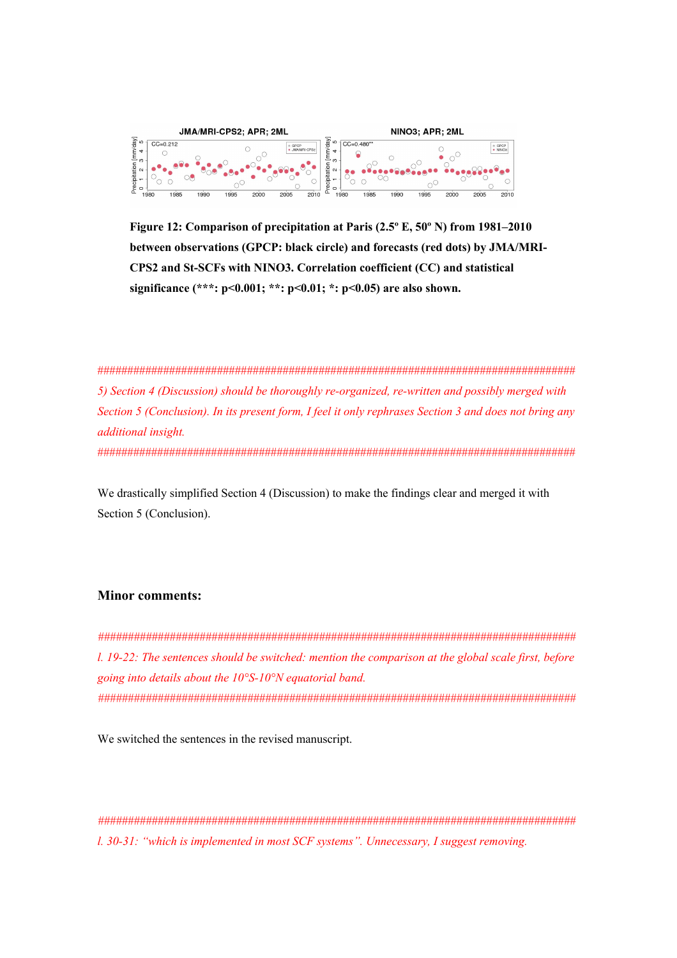

**Figure 12: Comparison of precipitation at Paris (2.5º E, 50º N) from 1981–2010 between observations (GPCP: black circle) and forecasts (red dots) by JMA/MRI-CPS2 and St-SCFs with NINO3. Correlation coefficient (CC) and statistical significance (\*\*\*: p<0.001; \*\*: p<0.01; \*: p<0.05) are also shown.** 

################################################################################ *5) Section 4 (Discussion) should be thoroughly re-organized, re-written and possibly merged with Section 5 (Conclusion). In its present form, I feel it only rephrases Section 3 and does not bring any additional insight.*  ################################################################################

We drastically simplified Section 4 (Discussion) to make the findings clear and merged it with Section 5 (Conclusion).

## **Minor comments:**

*################################################################################ l. 19-22: The sentences should be switched: mention the comparison at the global scale first, before going into details about the 10°S-10°N equatorial band. ################################################################################*

We switched the sentences in the revised manuscript.

*################################################################################ l. 30-31: "which is implemented in most SCF systems". Unnecessary, I suggest removing.*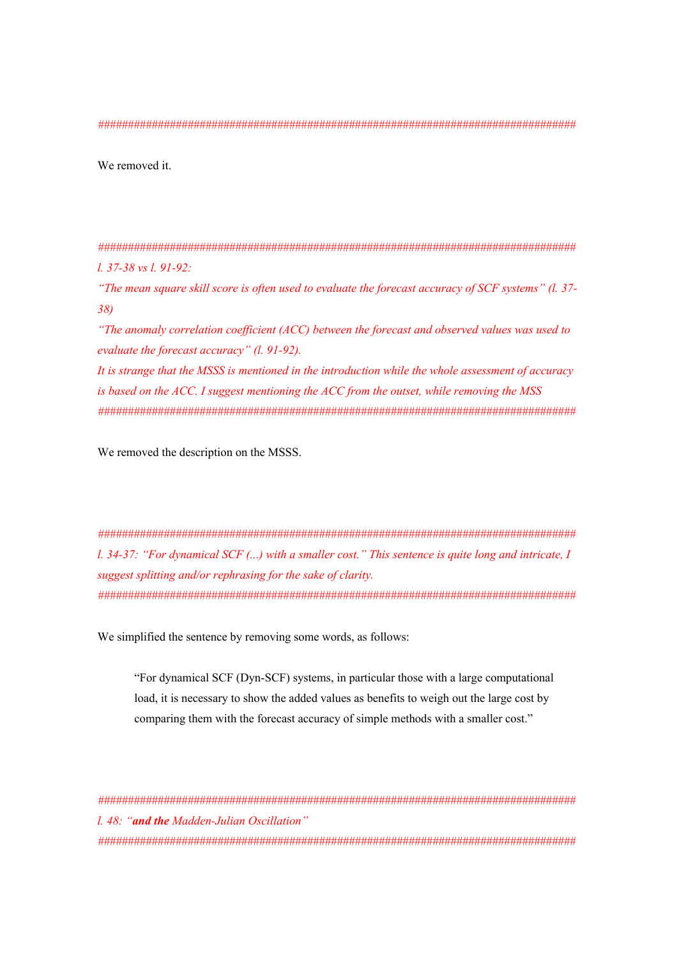We removed it.

 $1.37 - 38$  vs  $1.91 - 92$ :

"The mean square skill score is often used to evaluate the forecast accuracy of SCF systems" (l. 37- $38)$ 

"The anomaly correlation coefficient (ACC) between the forecast and observed values was used to evaluate the forecast accuracy" (l. 91-92).

It is strange that the MSSS is mentioned in the introduction while the whole assessment of accuracy is based on the ACC. I suggest mentioning the ACC from the outset, while removing the MSS 

We removed the description on the MSSS.

 $1.34-37$ : "For dynamical SCF (...) with a smaller cost." This sentence is quite long and intricate, I suggest splitting and/or rephrasing for the sake of clarity. 

We simplified the sentence by removing some words, as follows:

"For dynamical SCF (Dyn-SCF) systems, in particular those with a large computational load, it is necessary to show the added values as benefits to weigh out the large cost by comparing them with the forecast accuracy of simple methods with a smaller cost."

1.48: "and the Madden-Julian Oscillation"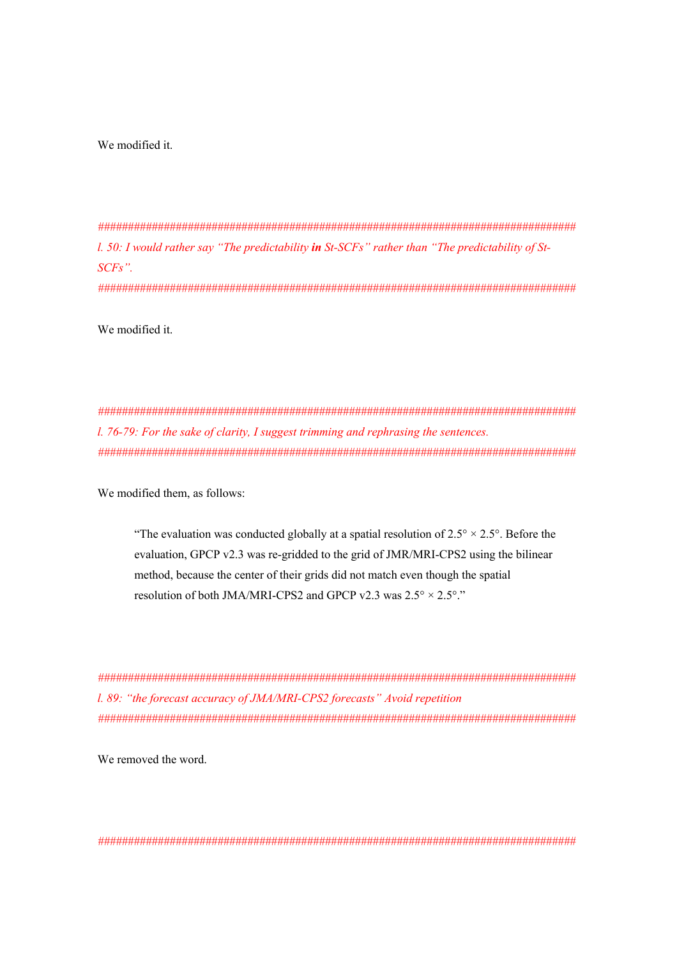We modified it.

*################################################################################ l. 50: I would rather say "The predictability in St-SCFs" rather than "The predictability of St-SCFs". ################################################################################*

We modified it.

*################################################################################ l. 76-79: For the sake of clarity, I suggest trimming and rephrasing the sentences. ################################################################################*

We modified them, as follows:

"The evaluation was conducted globally at a spatial resolution of  $2.5^{\circ} \times 2.5^{\circ}$ . Before the evaluation, GPCP v2.3 was re-gridded to the grid of JMR/MRI-CPS2 using the bilinear method, because the center of their grids did not match even though the spatial resolution of both JMA/MRI-CPS2 and GPCP v2.3 was  $2.5^{\circ} \times 2.5^{\circ}$ ."

*################################################################################ l. 89: "the forecast accuracy of JMA/MRI-CPS2 forecasts" Avoid repetition ################################################################################*

We removed the word.

*################################################################################*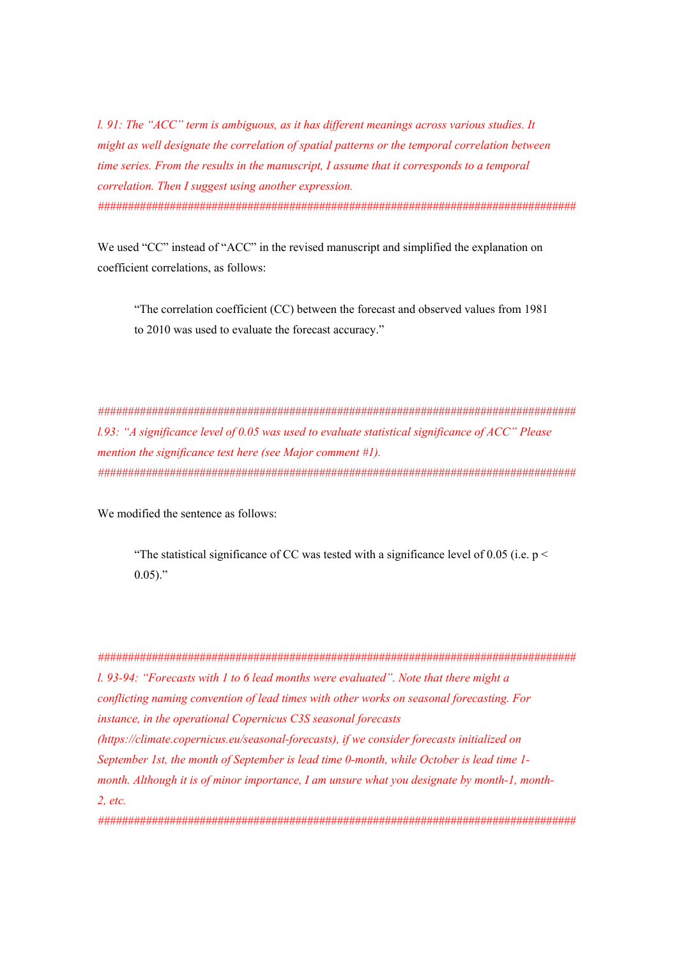*l. 91: The "ACC" term is ambiguous, as it has different meanings across various studies. It might as well designate the correlation of spatial patterns or the temporal correlation between time series. From the results in the manuscript, I assume that it corresponds to a temporal correlation. Then I suggest using another expression. ################################################################################*

We used "CC" instead of "ACC" in the revised manuscript and simplified the explanation on coefficient correlations, as follows:

"The correlation coefficient (CC) between the forecast and observed values from 1981 to 2010 was used to evaluate the forecast accuracy."

*################################################################################ l.93: "A significance level of 0.05 was used to evaluate statistical significance of ACC" Please mention the significance test here (see Major comment #1). ################################################################################*

We modified the sentence as follows:

"The statistical significance of CC was tested with a significance level of 0.05 (i.e.  $p <$  $0.05$ )."

*################################################################################ l. 93-94: "Forecasts with 1 to 6 lead months were evaluated". Note that there might a conflicting naming convention of lead times with other works on seasonal forecasting. For instance, in the operational Copernicus C3S seasonal forecasts (https://climate.copernicus.eu/seasonal-forecasts), if we consider forecasts initialized on September 1st, the month of September is lead time 0-month, while October is lead time 1 month. Although it is of minor importance, I am unsure what you designate by month-1, month-2, etc. ################################################################################*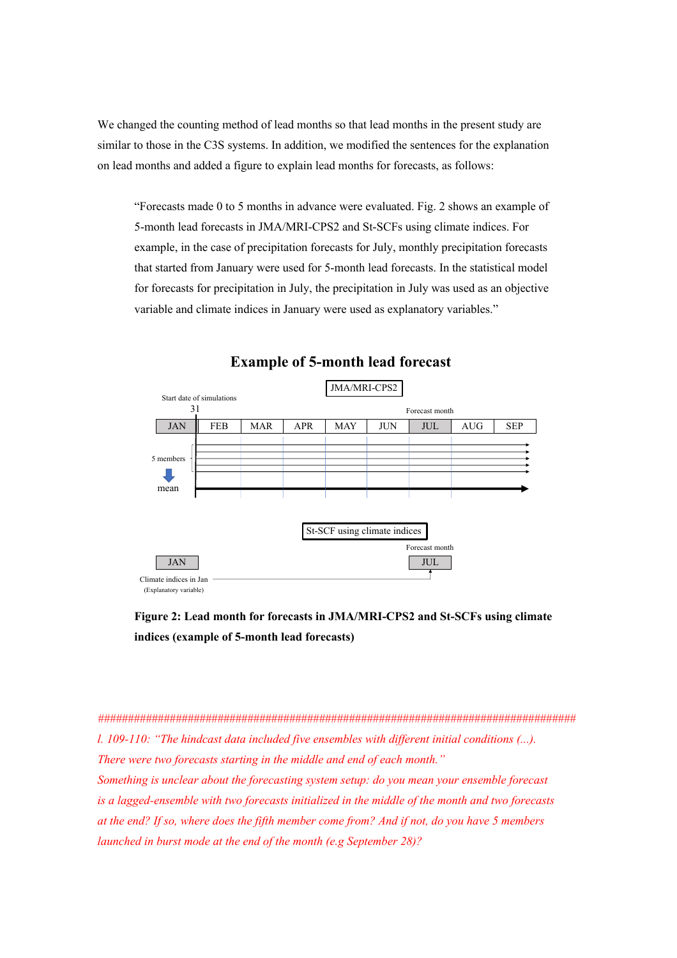We changed the counting method of lead months so that lead months in the present study are similar to those in the C3S systems. In addition, we modified the sentences for the explanation on lead months and added a figure to explain lead months for forecasts, as follows:

"Forecasts made 0 to 5 months in advance were evaluated. Fig. 2 shows an example of 5-month lead forecasts in JMA/MRI-CPS2 and St-SCFs using climate indices. For example, in the case of precipitation forecasts for July, monthly precipitation forecasts that started from January were used for 5-month lead forecasts. In the statistical model for forecasts for precipitation in July, the precipitation in July was used as an objective variable and climate indices in January were used as explanatory variables."



**Example of 5-month lead forecast**

**Figure 2: Lead month for forecasts in JMA/MRI-CPS2 and St-SCFs using climate indices (example of 5-month lead forecasts)**

*################################################################################ l. 109-110: "The hindcast data included five ensembles with different initial conditions (...). There were two forecasts starting in the middle and end of each month." Something is unclear about the forecasting system setup: do you mean your ensemble forecast is a lagged-ensemble with two forecasts initialized in the middle of the month and two forecasts at the end? If so, where does the fifth member come from? And if not, do you have 5 members launched in burst mode at the end of the month (e.g September 28)?*